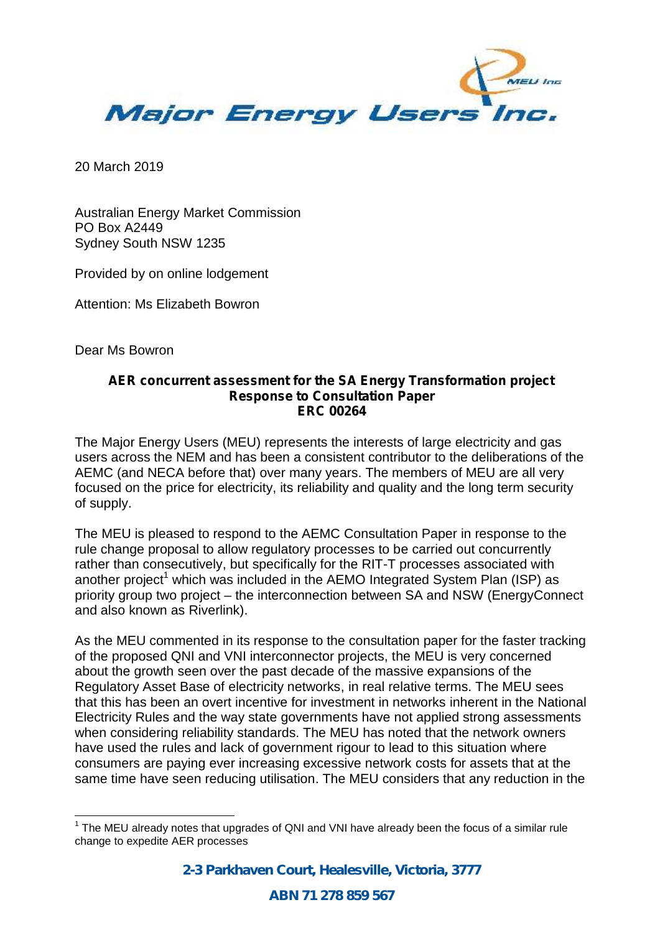

20 March 2019

Australian Energy Market Commission PO Box A2449 Sydney South NSW 1235

Provided by on online lodgement

Attention: Ms Elizabeth Bowron

Dear Ms Bowron

## **AER concurrent assessment for the SA Energy Transformation project Response to Consultation Paper ERC 00264**

The Major Energy Users (MEU) represents the interests of large electricity and gas users across the NEM and has been a consistent contributor to the deliberations of the AEMC (and NECA before that) over many years. The members of MEU are all very focused on the price for electricity, its reliability and quality and the long term security of supply.

The MEU is pleased to respond to the AEMC Consultation Paper in response to the rule change proposal to allow regulatory processes to be carried out concurrently rather than consecutively, but specifically for the RIT-T processes associated with another project<sup>1</sup> which was included in the AEMO Integrated System Plan (ISP) as priority group two project – the interconnection between SA and NSW (EnergyConnect and also known as Riverlink).

As the MEU commented in its response to the consultation paper for the faster tracking of the proposed QNI and VNI interconnector projects, the MEU is very concerned about the growth seen over the past decade of the massive expansions of the Regulatory Asset Base of electricity networks, in real relative terms. The MEU sees that this has been an overt incentive for investment in networks inherent in the National Electricity Rules and the way state governments have not applied strong assessments when considering reliability standards. The MEU has noted that the network owners have used the rules and lack of government rigour to lead to this situation where consumers are paying ever increasing excessive network costs for assets that at the same time have seen reducing utilisation. The MEU considers that any reduction in the

 $1$  The MEU already notes that upgrades of QNI and VNI have already been the focus of a similar rule change to expedite AER processes